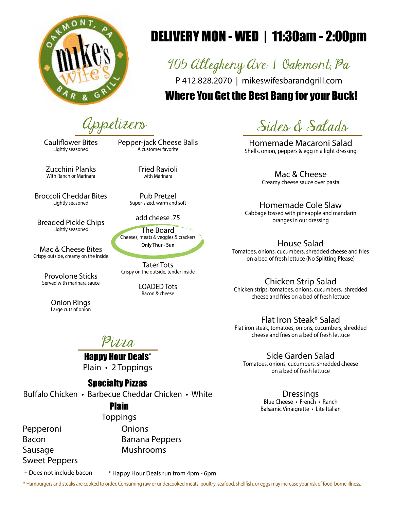

# DELIVERY MON - WED | 11:30am - 2:00pm

905 Allegheny Ave | Oakmont, Pa

P 412.828.2070 | mikeswifesbarandgrill.com

## Where You Get the Best Bang for your Buck!

Cauliflower Bites Lightly seasoned

Pepper-jack Cheese Balls A customer favorite

Zucchini Planks With Ranch or Marinara

Broccoli Cheddar Bites Lightly seasoned

Breaded Pickle Chips Lightly seasoned

Mac & Cheese Bites Crispy outside, creamy on the inside

> Provolone Sticks Served with marinara sauce

> > Onion Rings Large cuts of onion

Fried Ravioli with Marinara

Pub Pretzel Super-sized, warm and soft

add cheese .75

The Board Cheeses, meats & veggies & crackers Only Thur - Sun

Tater Tots Crispy on the outside, tender inside

> LOADED Tots Bacon & cheese

Appetizers Sides & Salads

Homemade Macaroni Salad Shells, onion, peppers & egg in a light dressing

> Mac & Cheese Creamy cheese sauce over pasta

Homemade Cole Slaw Cabbage tossed with pineapple and mandarin oranges in our dressing

House Salad

Tomatoes, onions, cucumbers, shredded cheese and fries on a bed of fresh lettuce (No Splitting Please)

Chicken Strip Salad

Chicken strips, tomatoes, onions, cucumbers, shredded cheese and fries on a bed of fresh lettuce

Flat Iron Steak\* Salad

Flat iron steak, tomatoes, onions, cucumbers, shredded cheese and fries on a bed of fresh lettuce

Side Garden Salad

Tomatoes, onions, cucumbers, shredded cheese on a bed of fresh lettuce

> Dressings Blue Cheese • French • Ranch Balsamic Vinaigrette • Lite Italian

Pizza

**Happy Hour Deals\*** Plain • 2 Toppings

### Specialty Pizzas

Buffalo Chicken • Barbecue Cheddar Chicken • White

### Plain

**Toppings** 

Pepperoni Bacon Sausage Sweet Peppers **Onions** Banana Peppers Mushrooms

+ Does not include bacon

\* Happy Hour Deals run from 4pm - 6pm

\* Hamburgers and steaks are cooked to order. Consuming raw or undercooked meats, poultry, seafood, shellfish, or eggs may increase your risk of food-borne illness.